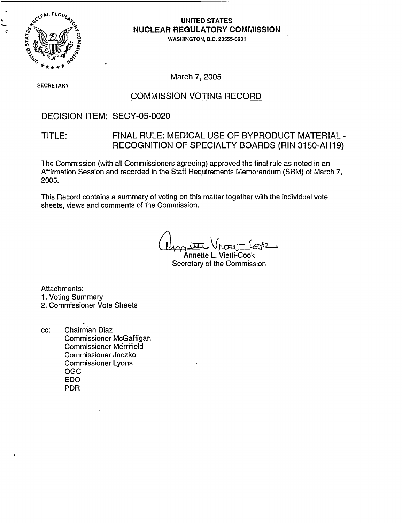

### **UNITED STATES NUCLEAR REGULATORY COMMISSION**

**WASHINGTON,** D.C. 20555-0001

March 7, 2005

SECRETAR)

## COMMISSION VOTING RECORD

### DECISION ITEM: SECY-05-0020

### TITLE: FINAL RULE: MEDICAL USE OF BYPRODUCT MATERIAL - RECOGNITION OF SPECIALTY BOARDS (RIN,3150-AH19)

The Commission (with all Commissioners agreeing) approved the final rule as noted in an Affirmation Session and recorded in the Staff Requirements Memorandum (SRM) of March 7, 2005.

This Record contains a summary of voting on this matter together with the individual vote sheets, views and comments of the Commission.

Annette L. Vietti-Cook Secretary of the Commission

Attachments: 1. Voting Summary 2. Commissioner Vote Sheets

cc: Chairman Diaz Commissioner McGaffigan Commissioner Merrifield Commissioner Jaczko Commissioner Lyons **OGC** EDO PDR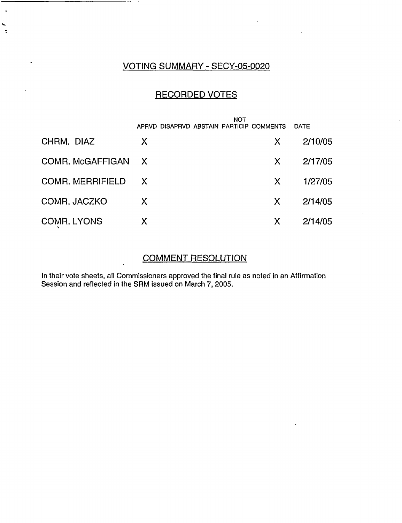## VOTING SUMMARY - SECY-05-0020

----

 $\ddot{\phantom{a}}$ 

i.  $\tilde{\mathbf{z}}$ 

 $\cdot$ 

## RECORDED VOTES

|                         | <b>NOT</b><br>APRVD DISAPRVD ABSTAIN PARTICIP COMMENTS |    | <b>DATE</b> |
|-------------------------|--------------------------------------------------------|----|-------------|
| CHRM. DIAZ              | X                                                      | X  | 2/10/05     |
| COMR. McGAFFIGAN        | $\mathsf{X}$                                           | X  | 2/17/05     |
| <b>COMR. MERRIFIELD</b> | X.                                                     | X. | 1/27/05     |
| COMR. JACZKO            | X                                                      | X  | 2/14/05     |
| <b>COMR. LYONS</b>      | Χ                                                      | Х  | 2/14/05     |

## COMMENT RESOLUTION

In their vote sheets, all Commissioners approved the final rule as noted in an Affirmation Session and reflected in the SRM issued on March 7, 2005.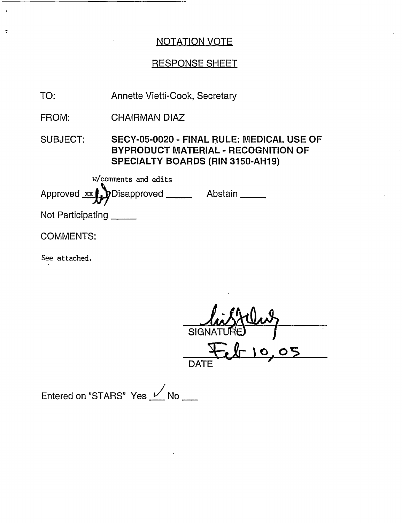## RESPONSE SHEET

| TO:                      | Annette Vietti-Cook, Secretary                                                                                                     |  |
|--------------------------|------------------------------------------------------------------------------------------------------------------------------------|--|
| FROM:                    | <b>CHAIRMAN DIAZ</b>                                                                                                               |  |
| <b>SUBJECT:</b>          | SECY-05-0020 - FINAL RULE: MEDICAL USE OF<br><b>BYPRODUCT MATERIAL - RECOGNITION OF</b><br><b>SPECIALTY BOARDS (RIN 3150-AH19)</b> |  |
| w/comments and edits     |                                                                                                                                    |  |
|                          | Approved xx Disapproved _____<br>Abstain                                                                                           |  |
| Not Participating ______ |                                                                                                                                    |  |
| <b>COMMENTS:</b>         |                                                                                                                                    |  |
| See attached.            |                                                                                                                                    |  |

 $\div$ SIGNATURE  $\frac{Q}{DATE}$  $8 - 10,05$ 

Entered on "STARS" Yes  $\angle$  No  $\equiv$ 

 $\ddot{\cdot}$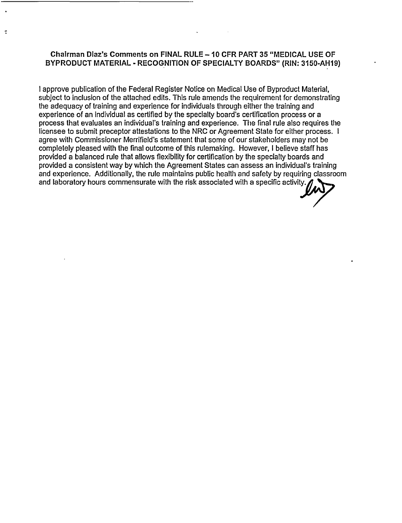#### **Chairman Diaz's Comments on FINAL RULE - 10 CFR PART 35 "MEDICAL USE OF BYPRODUCT MATERIAL** - **RECOGNITION OF SPECIALTY BOARDS" (RIN: 3150-AH19)**

 $\ddot{\cdot}$ 

I approve publication of the Federal Register Notice on Medical Use of Byproduct Material, subject to inclusion of the attached edits. This rule amends the requirement for demonstrating the adequacy of training and experience for individuals through either the training and experience of an individual as certified by the specialty board's certification process or a process that evaluates an individual's training and experience. The final rule also requires the licensee to submit preceptor attestations to the NRC or Agreement State for either process. I agree with Commissioner Merrifield's statement that some of our stakeholders may not be completely pleased with the final outcome of this rulemaking. However, I believe staff has provided a balanced rule that allows flexibility for certification by the specialty boards and provided a consistent way by which the Agreement States can assess an individual's training and experience. Additionally, the rule maintains public health and safety by requiring classroom and laboratory hours commensurate with the risk associated with a specific activity.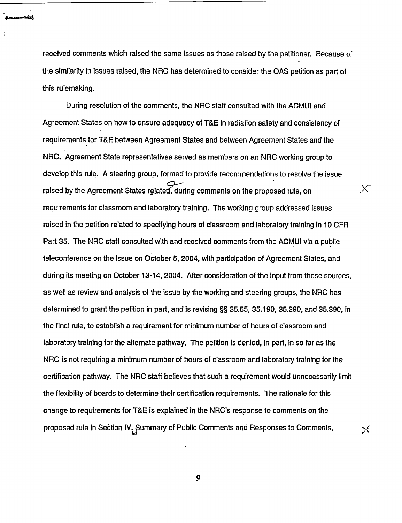received comments which raised the same issues as those raised by the petitioner. Because of the similarity in issues raised, the NRC has determined to consider the OAS petition as part of this rulemaking.

During resolution of the comments, the NRC staff consulted with the ACMUI and Agreement States on how to ensure adequacy of T&E in radiation safety and consistency of requirements for T&E between Agreement States and between Agreement States and the NRC. Agreement State representatives served as members on an NRC working group to develop this rule. A steering group, formed to provide recommendations to resolve the issue raised by the Agreement States related, during comments on the proposed rule, on requirements for classroom and laboratory training. The working group addressed issues raised in the petition related to specifying hours of classroom and laboratory training in 10 CFR Part 35. The NRC staff consulted with and received comments from the ACMUI via a public teleconference on the issue on October 5, 2004, with participation of Agreement States, and during its meeting on October 13-14, 2004. After consideration of the input from these sources, as well as review and analysis of the issue by the working and steering groups, the NRC has determined to grant the petition in part, and is revising §§ 35.55, 35.190, 35.290, and 35.390, in the final rule, to establish a requirement for minimum number of hours of classroom and laboratory training for the alternate pathway. The petition is denied, in part, in so far as the NRC is not requiring a minimum number of hours of classroom and laboratory training for the certification pathway. The NRC staff believes that such a requirement would unnecessarily limit the flexibility of boards to determine their certification requirements. The rationale for this change to requirements for T&E is explained in the NRC's response to comments on the proposed rule in Section IV. Summary of Public Comments and Responses to Comments,

✕

 $\times$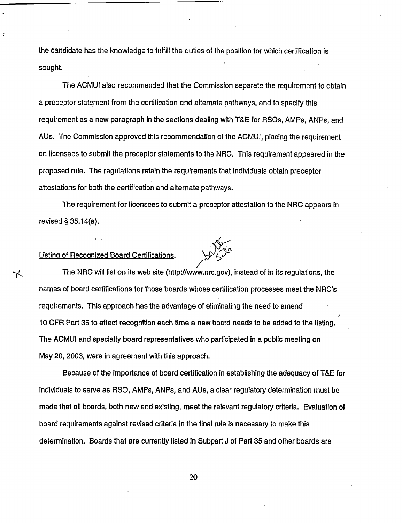the candidate has the knowledge to fulfill the duties of the position for which certification is sought.

The ACMUI also recommended that the Commission separate the requirement to obtain a preceptor statement from the certification and alternate pathways, and to specify this requirement as a new paragraph in the sections dealing with T&E for RSOs, AMPs, ANPs, and AUs. The Commission approved this recommendation of the ACMUI, placing the requirement on licensees to submit the preceptor statements to the NRC. This requirement appeared in the proposed rule. The regulations retain the requirements that individuals obtain preceptor attestations for both the certification and alternate pathways.

The requirement for licensees to submit a preceptor attestation to the NRC appears in revised § 35.14(a).

#### Listing of Recognized Board Certifications.

く



The NRC will list on its web site (http://www.nrc.gov), instead of in its regulations, the names of board certifications for those boards whose certification processes meet the NRC's requirements. This approach has the advantage of eliminating the need to amend 10 CFR Part 35 to effect recognition each time a new board needs to be added to the listing. The ACMUI and specialty board representatives who participated in a public meeting on May 20, 2003, were in agreement with this approach.

Because of the importance of board certification in establishing the adequacy of T&E for individuals to serve as RSO, AMPs, ANPs, and AUs, a clear regulatory determination must be made that all boards, both new and existing, meet the relevant regulatory criteria. Evaluation of board requirements against revised criteria in the final rule Is necessary to make this determination. Boards that are currently listed in Subpart J of Part 35 and other boards are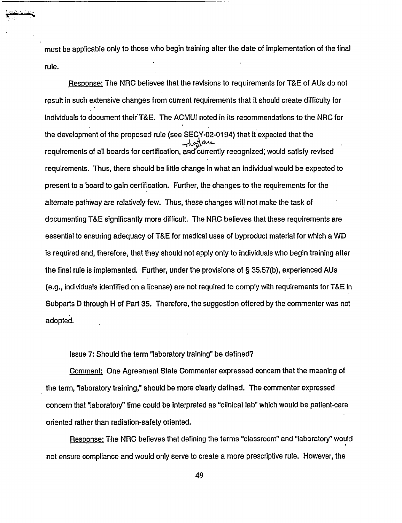must be applicable only to those who begin training after the date of implementation of the final rule.

Response: The NRC believes that the revisions to requirements for T&E of AUs do not result in such extensive changes from current requirements that it should create difficulty for individuals to document their T&E. The ACMUI noted in its recommendations to the NRC for the development of the proposed rule (see SECY-02-0194) that it expected that the requirements of all boards for certification, and'currently recognized, would satisfy revised requirements. Thus, there should be little change in what an individual would be expected to present to a board to gain certification. Further, the changes to the requirements for the alternate pathway are relatively few. Thus, these changes will not make the task of documenting T&E significantly more difficult. The NRC believes that these requirements are essential to ensuring adequacy of T&E for medical uses of byproduct material for which a WD is required and, therefore, that they should not apply only to individuals who begin training after the final rule is implemented. Further, under the provisions of § 35.57(b), experienced AUs (e.g., individuals identified on a license) are not required to comply with requirements for T&E in Subparts D through H of Part 35. Therefore, the suggestion offered by the commenter was not adopted.

Issue 7: Should the term "laboratory training" be defined?

Comment: One Agreement State Commenter expressed concern that the meaning of the term, "laboratory training," should be more clearly defined. The commenter expressed concern that 'laboratory" time could be interpreted as "clinical lab" which would be patient-care oriented rather than radiation-safety oriented.

Response: The NRC believes that defining the terms "classroom" and "laboratory" would not ensure compliance and would only serve to create a more prescriptive rule. However, the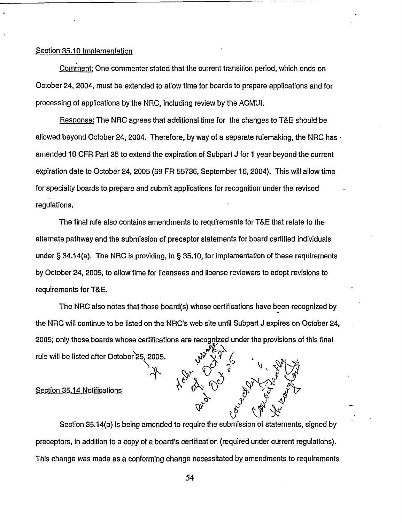#### Section 35.10 Implementation

Comment: One commenter stated that the current transition period, which ends on October 24, 2004, must be extended to allow time for boards to prepare applications and for processing of applications by the NRC, including review by the ACMUL

Response: The NRC agrees that additional time for the changes to T&E should be allowed beyond October 24, 2004. Therefore, by way of a separate rulemaking, the NRC has amended 10 CFR Part 35 to extend the expiration of Subpart J for 1 year beyond the current expiration date to October 24, 2005 (69 FR 55736, September 16, 2004). This will allow time for specialty boards to prepare and submit applications for recognition under the revised regulations.

The final rule also contains amendments to requirements for T&E that relate to the alternate pathway and the submission of preceptor statements for board certified individuals under § 34.14(a). The NRC is providing, in § 35.10, for implementation of these requirements by October 24, 2005, to allow time for licensees and license reviewers to adopt revisions to requirements for T&E.

The NRC also notes that those board(s) whose certifications have been recognized by the NRC will continue to be listed on the NRC's web site until Subpart J expires on October 24, 2005; only those boards whose certifications are recognized under the provisions of this final rule will be listed after October 25, 2005.

#### Section 35.14 Notifications

Section 35.14(a) is being amended to require the submission of statements, signed by preceptors, in addition to a copy of a board's certification (required under current regulations). This change was made as a conforming change necessitated by amendments to requirements

 $\mathcal{A}^{\mathcal{G}}$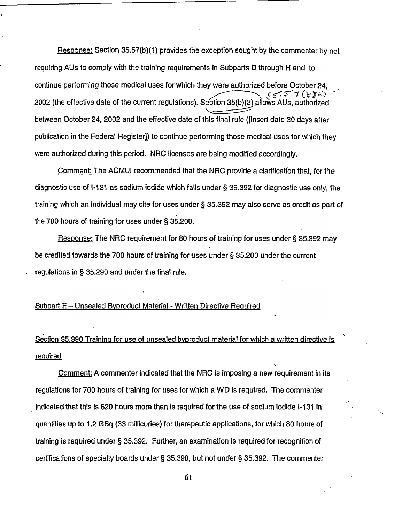Response: Section 35.57(b)(1) provides the exception sought by the commenter by not requiring AUs to comply with the training requirements in Subparts D through H and to continue performing those medical uses for which they were authorized before October 24, てごご て (らとぶ) 2002 (the effective date of the current regulations). Section 35(b(2 allows AUs, authorized between October 24, 2002 and the effective date of this final rule ([insert date 30 days after publication in the Federal Register]) to continue performing those medical uses for which they were authorized during this period. NRC licenses are being modified accordingly.

Comment: The ACMUI recommended that the NRC provide a clarification that, for the diagnostic use of 1-131 as sodium iodide which falls under § 35.392 for diagnostic use only, the training which an individual may cite for uses under § 35.392 may also serve as credit as part of the 700 hours of training for uses under § 35.200.

Response: The NRC requirement for 80 hours of training for uses under § 35.392 may be credited towards the 700 hours of training for uses under § 35.200 under the current regulations in § 35.290 and under the final rule.

#### Subpart E - Unsealed Byproduct Material - Written Directive Required

Section 35.390 Training for use of unsealed byproduct material for which a written directive is required

Comment: A commenter indicated that the NRC is imposing a new requirement in its regulations for 700 hours of training for uses for which a WD is required. The commenter indicated that this is 620 hours more than is required for the use of sodium iodide 1-131 in quantities up to 1.2 GBq (33 millicuries) for therapeutic applications, for which 80 hours of training is required under § 35.392. Further, an examination is required for recognition of certifications of specialty boards under § 35.390, but not under § 35.392. The commenter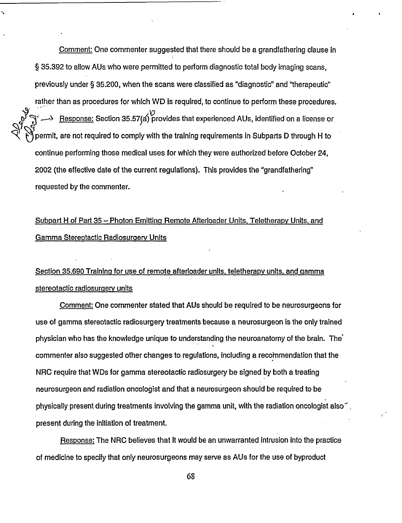Comment: One commenter suggested that there should be a grandfathering clause in § 35.392 to allow AUs who were permitted to perform diagnostic total body imaging scans, previously under § 35.200, when the scans were classified as "diagnostic" and "therapeutic" rather than as procedures for which WD is required, to continue to perform these procedures. بر)<br>Response: Section 35.57(a) provides that experienced AUs, identified on a license or « permit, are not required to comply with the training requirements in Subparts D through H to continue performing those medical uses for which they were authorized before October 24, 2002 (the effective date of the current regulations). This provides the "grandfathering" requested by the commenter.

# Subpart H of Part 35 - Photon Emitting Remote Afterloader Units, Teletherapy Units, and Gamma Stereotactic Radiosurgerv Units

# Section 35.690 Training for use of remote afterloader units. teletherapy units, and gamma stereotactic radiosurgery units

Comment: One commenter stated that AUs should be required to be neurosurgeons for use of gamma stereotactic radiosurgery treatments because a neurosurgeon is the only trained physician who has the knowledge unique to understanding the neuroanatomy of the brain. The' commenter also suggested other changes to regulations, including a recommendation that the NRC require that WDs for gamma stereotactic radiosurgery be signed by both a treating neurosurgeon and radiation oncologist and that a neurosurgeon should be required to be physically present during treatments involving the gamma unit, with the radiation oncologist also'. present during the initiation of treatment.

Response: The NRC believes that It would be an unwarranted intrusion into the practice of medicine to specify that only neurosurgeons may serve as AUs for the use of byproduct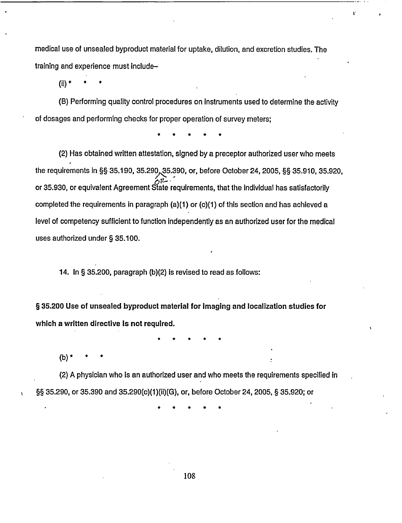medical use of unsealed byproduct material for uptake, dilution, and excretion studies. The training and experience must includeL.

(ii)  $*$ 

(B) Performing quality control procedures on instruments used to determine the activity of dosages and performing checks for proper operation of survey meters;

\* \* \* \* \*

(2) Has obtained written attestation, signed by a preceptor authorized user who meets the requirements in §§ 35.190, 35.290, 35.390, or, before October 24, 2005, §§ 35.910, 35.920, or 35.930, or equivalent Agreement State requirements, that the individual has satisfactorily completed the requirements in paragraph (a)(1) or (c)(1) of this section and has achieved a level of competency sufficient to function independently as an authorized user for the medical uses authorized under § 35.100.

14. In § 35.200, paragraph (b)(2) is revised to read as follows:

§ **35.200 Use of unsealed byproduct material for** Imaging **and localization studies for which a written directive Is not required.**

\* \* \* \* \*

(b)  $*$ 

(2) A physician who is an authorized user and who meets the requirements specified in §§ 35.290, or 35.390 and 35.290(c)(1)(ii)(G), or, before October 24, 2005, § 35.920; or

. \* \* \* \* \*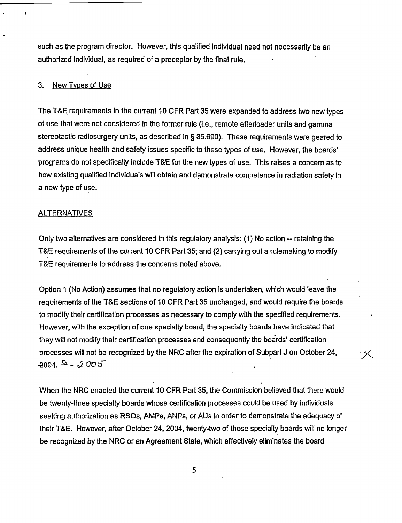such as the program director. However, this qualified individual need not necessarily be an authorized individual, as required of a preceptor by the final rule.

#### 3. New Tvpes of Use

÷

The T&E requirements in the current 10 CFR Part 35 were expanded to address two new types of use that were not considered in the former rule (i.e., remote afterloader units and gamma stereotactic radiosurgery units, as described in § 35.690). These requirements were geared to address unique health and safety issues specific to these types of use. However, the boards' programs do not specifically include T&E for the new types of use. This raises a concern as to how existing qualified individuals will obtain and demonstrate competence in radiation safety in a new type of use.

#### **ALTERNATIVES**

Only two alternatives are considered in this regulatory analysis: (1) No action -- retaining the T&E requirements of the current 10 CFR Part 35; and (2) carrying out a rulemaking to modify T&E requirements to address the concerns noted above.

Option I (No Action) assumes that no regulatory action is undertaken, which would leave the requirements of the T&E sections of 10 CFR Part 35 unchanged, and would require the boards to modify their certification processes as necessary to comply with the specified requirements. However, with the exception of one specialty board, the specialty boards have indicated that they will not modify their certification processes and consequently the boards' certification processes will not be recognized by the NRC after the expiration of Subpart J on October 24,  $2004 - 2005$ 

When the NRC enacted the current 10 CFR Part 35, the Commission believed that there would be twenty-three specialty boards whose certification processes could be used by individuals seeking authorization as RSOs, AMPs, ANPs, or AUs in order to demonstrate the adequacy of their T&E. However, after October 24, 2004, twenty-two of those specialty boards will no longer be recognized by the NRC or an Agreement State, which effectively eliminates the board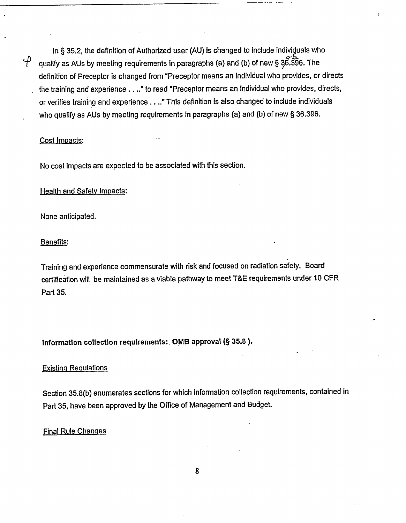In § 35.2, the definition of Authorized user (AU) is changed to include individuals who  $\overleftrightarrow{V}$  qualify as AUs by meeting requirements in paragraphs (a) and (b) of new § 36.396. The definition of Preceptor is changed from "Preceptor means an individual who provides, or directs the training and experience .. .." to read "Preceptor means an individual who provides, directs, or verifies training and experience . . .." This definition is also changed to include individuals who qualify as AUs by meeting requirements in paragraphs (a) and (b) of new § 36.396.

#### Cost Impacts:

No cost impacts are expected to be associated with this section.

#### Health and Safety Impacts:

None anticipated.

#### Benefits:

Training and experience commensurate with risk and focused on radiation safety. Board certification will be maintained as a viable pathway to meet T&E requirements under 10 CFR Part 35.

#### **Information collection requirements:. OMB approval (§ 35.8).**

#### Existing Regulations

Section 35.8(b) enumerates sections for which information collection requirements, contained in Part 35, have been approved by the Office of Management and Budget.

#### Final Rule Changes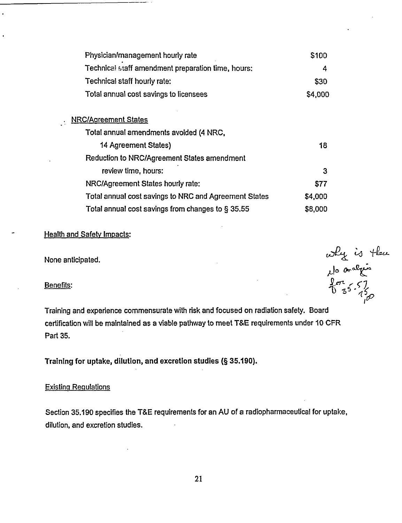| Physician/management hourly rate                      | \$100   |
|-------------------------------------------------------|---------|
| Technical staff amendment preparation time, hours:    | 4       |
| Technical staff hourly rate:                          | \$30    |
| Total annual cost savings to licensees                | \$4,000 |
| <b>NRC/Agreement States</b>                           |         |
| Total annual amendments avoided (4 NRC,               |         |
| 14 Agreement States)                                  | 18      |
| Reduction to NRC/Agreement States amendment           |         |
| review time, hours:                                   | 3       |
| NRC/Agreement States hourly rate:                     | \$77    |
| Total annual cost savings to NRC and Agreement States | \$4,000 |
| Total annual cost savings from changes to § 35.55     | \$8,000 |

#### Health and Safety Impacts:

None anticipated.

 $\mathcal{L}^{\mathcal{L}}$ 

Benefits:

Training and experience commensurate with risk and focused on radiation safety. Board certification will be maintained as a viable pathway to meet T&E requirements under 10 CFR Part 35.

they is there<br>lo analysis<br>is 5.57<br>is 35.57

Training **for** uptake, dilution, and excretion studies (§ **35.190).**

#### Existing Regulations

Section 35.190 specifies the T&E requirements for an AU of a radiopharmaceutical for uptake, dilution, and excretion studies.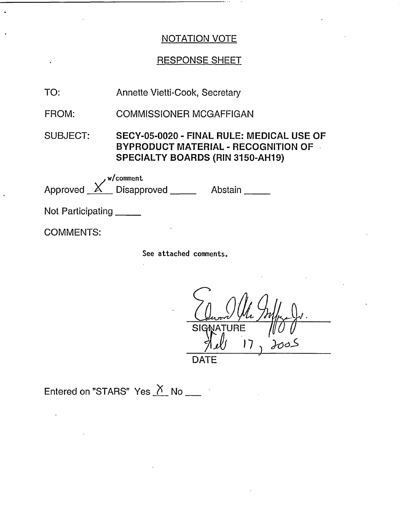## RESPONSE SHEET

| TO:<br>Annette Vietti-Cook, Secretary |  |
|---------------------------------------|--|
|---------------------------------------|--|

- COMMISSIONER MCGAFFIGAN FROM:
- SUBJECT: SECY-05-0020 FINAL RULE: MEDICAL USE OF BYPRODUCT MATERIAL - RECOGNITION OF SPECIALTY BOARDS (RIN 3150-AH19)

w/comment Approved  $X$  Disapproved  $X$  Abstain

Not Participating \_\_\_\_

COMMENTS:

See attached comments.

SIGN  $\int_{a}^{b}$  $Jull_{\infty}$  ).  $\int$ *bo-*DATE

Entered on "STARS" Yes  $N$  No \_\_\_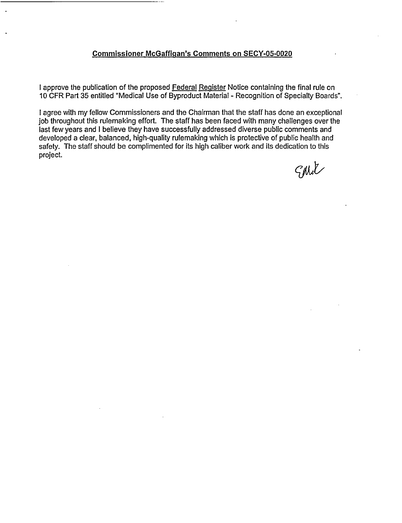#### **Commissioner McGaffican's Comments on** SECY-05-0020

I approve the publication of the proposed Federal Register Notice containing the final rule on 10 CFR Part 35 entitled "Medical Use of Byproduct Material - Recognition of Specialty Boards".

I agree with my fellow Commissioners and the Chairman that the staff has done an exceptional job throughout this rulemaking effort. The staff has been faced with many challenges over the last few years and I believe they have successfully addressed diverse public comments and developed a clear, balanced, high-quality rulemaking which is protective of public health and safety. The staff should be complimented for its high caliber work and its dedication to this project.

Sphit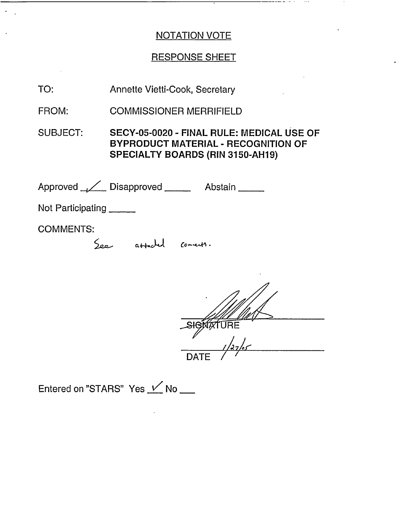—————————————

 $\sim 100$  km  $^{-2}$ 

# RESPONSE SHEET

| TO:               | Annette Vietti-Cook, Secretary                                                                                                     |
|-------------------|------------------------------------------------------------------------------------------------------------------------------------|
| FROM:             | <b>COMMISSIONER MERRIFIELD</b>                                                                                                     |
| <b>SUBJECT:</b>   | SECY-05-0020 - FINAL RULE: MEDICAL USE OF<br><b>BYPRODUCT MATERIAL - RECOGNITION OF</b><br><b>SPECIALTY BOARDS (RIN 3150-AH19)</b> |
|                   | Approved / Disapproved ______ Abstain _____                                                                                        |
| Not Participating |                                                                                                                                    |
| <b>COMMENTS:</b>  | attached connects.                                                                                                                 |
|                   |                                                                                                                                    |

DATE /

Entered on "STARS" Yes  $V$  No \_\_

 $\alpha$ 

 $\langle \cdot \rangle$  .

 $\mathcal{A}$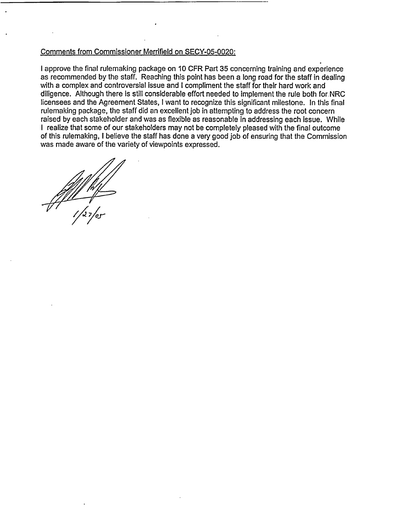#### Comments from Commissioner Merrifield on SECY-05-0020:

I approve the final rulemaking package on 10 CFR Part 35 concerning training and experience as recommended by the staff. Reaching this point has been a long road for the staff in dealing with a complex and controversial issue and I compliment the staff for their hard work and diligence. Although there is still considerable effort needed to implement the rule both for.NRC licensees and the Agreement States, I want to recognize this significant milestone. In this final rulemaking package, the staff did an excellent job in attempting to address the root concern raised by each stakeholder and was as flexible as reasonable in addressing each issue. While I realize that some of our stakeholders may not be completely pleased with the final outcome of this rulemaking, I believe the staff has done a very good job of ensuring that the Commission was made aware of the variety of viewpoints expressed.

/ 1;, **of-**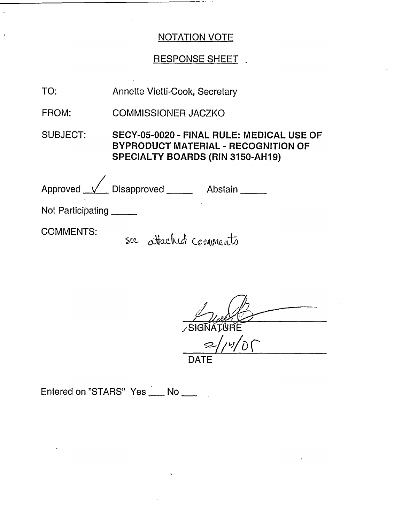- -

## RESPONSE SHEET.

| TO:                      | Annette Vietti-Cook, Secretary                                                                                              |
|--------------------------|-----------------------------------------------------------------------------------------------------------------------------|
| FROM:                    | <b>COMMISSIONER JACZKO</b>                                                                                                  |
| SUBJECT:                 | SECY-05-0020 - FINAL RULE: MEDICAL USE OF<br><b>BYPRODUCT MATERIAL - RECOGNITION OF</b><br>SPECIALTY BOARDS (RIN 3150-AH19) |
|                          | Approved <u>V</u> Disapproved Abstain                                                                                       |
| Not Participating ______ |                                                                                                                             |
| <b>COMMENTS:</b>         | see attached comments                                                                                                       |

**SIGNATURE**  $2/14/0$ **DATE**

Entered on "STARS" Yes \_\_ No \_\_

 $\ddot{\phantom{a}}$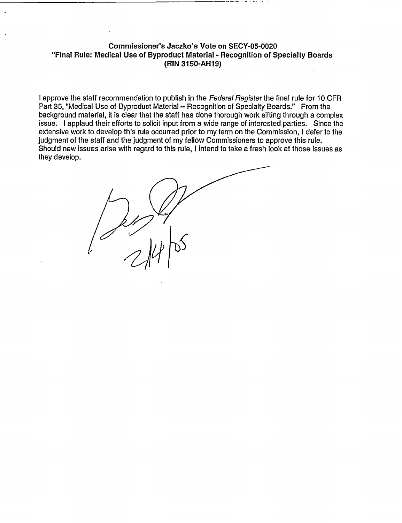#### **Commissioner's Jaczko's Vote on SECY-05-0020** "Final Rule: Medical **Use of Byproduct Material** - **Recognition of Specialty Boards** (RIN **3150-AH19)**

I approve the staff recommendation to publish in the *Federal Registerthe* final rule for 10 CFR Part 35, "Medical Use of Byproduct Material - Recognition of Specialty Boards." From the background material, it is clear that the staff has done thorough work sifting through a complex issue. I applaud their efforts to solicit input from a wide range of interested parties. Since the extensive work to develop this rule occurred prior to my term on the Commission, I defer to the judgment of the staff and the judgment of my fellow Commissioners to approve this rule. Should new issues arise with regard to this rule, I intend to take a fresh look at those issues as they develop.

if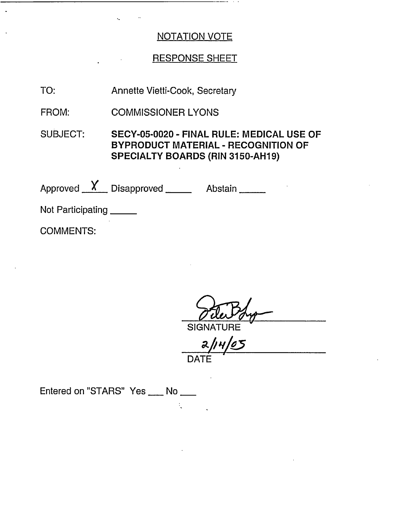## RESPONSE SHEET

Annette Vietti-Cook, Secretary TO:

COMMISSIONER LYONS FROM:

SUBJECT: SECY-05-0020 - FINAL RULE: MEDICAL USE OF BYPRODUCT MATERIAL - RECOGNITION OF SPECIALTY BOARDS (RIN 3150-AH19)

 $\frac{1}{2}$ 

Approved  $X$  Disapproved  $X$  Abstain

Not Participating \_\_\_\_\_

COMMENTS:

SIGNA

*a3//* v/ DATE

Entered on "STARS" Yes \_\_\_ No \_\_\_